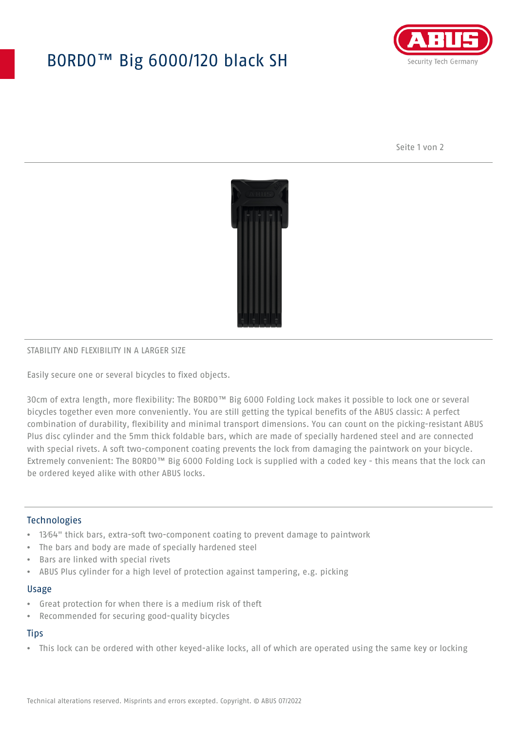# BORDO™ Big 6000/120 black SH



Seite 1 von 2



## STABILITY AND FLEXIBILITY IN A LARGER SIZE

Easily secure one or several bicycles to fixed objects.

30cm of extra length, more flexibility: The BORDO™ Big 6000 Folding Lock makes it possible to lock one or several bicycles together even more conveniently. You are still getting the typical benefits of the ABUS classic: A perfect combination of durability, flexibility and minimal transport dimensions. You can count on the picking-resistant ABUS Plus disc cylinder and the 5mm thick foldable bars, which are made of specially hardened steel and are connected with special rivets. A soft two-component coating prevents the lock from damaging the paintwork on your bicycle. Extremely convenient: The BORDO™ Big 6000 Folding Lock is supplied with a coded key - this means that the lock can be ordered keyed alike with other ABUS locks.

## **Technologies**

- 13⁄64" thick bars, extra-soft two-component coating to prevent damage to paintwork
- The bars and body are made of specially hardened steel
- Bars are linked with special rivets
- ABUS Plus cylinder for a high level of protection against tampering, e.g. picking

#### Usage

- Great protection for when there is a medium risk of theft
- Recommended for securing good-quality bicycles

## **Tips**

• This lock can be ordered with other keyed-alike locks, all of which are operated using the same key or locking